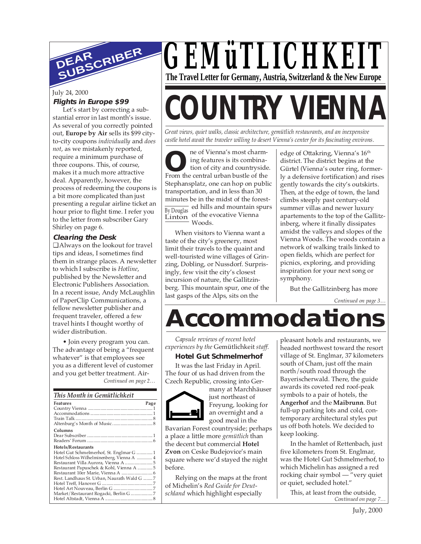

#### July 24, 2000 **Flights in Europe \$99**

Let's start by correcting a substantial error in last month's issue. As several of you correctly pointed out, **Europe by Air** sells its \$99 cityto-city coupons *individually* and *does not*, as we mistakenly reported, require a minimum purchase of three coupons. This, of course, makes it a much more attractive deal. Apparently, however, the process of redeeming the coupons is a bit more complicated than just presenting a regular airline ticket an hour prior to flight time. I refer you to the letter from subscriber Gary Shirley on page 6.

#### **Clearing the Desk**

❑ Always on the lookout for travel tips and ideas, I sometimes find them in strange places. A newsletter to which I subscribe is *Hotline*, published by the Newsletter and Electronic Publishers Association. In a recent issue, Andy McLaughlin of PaperClip Communications, a fellow newsletter publisher and frequent traveler, offered a few travel hints I thought worthy of wider distribution.

*Continued on page 2…* • Join every program you can. The advantage of being a "frequent whatever" is that employees see you as a different level of customer and you get better treatment. Air-

#### *This Month in Gemütlichkeit*

| Features                                   | Page |
|--------------------------------------------|------|
|                                            |      |
|                                            |      |
|                                            |      |
|                                            |      |
| Columns                                    |      |
|                                            |      |
|                                            |      |
| Hotels/Restaurants                         |      |
| Hotel Gut Schmelmerhof, St. Englmar G 1    |      |
| Hotel Schloss Wilhelminenberg, Vienna A  4 |      |
|                                            |      |
| Restaurant Papuschek & Kohl, Vienna A  5   |      |
|                                            |      |
| Rest. Landhaus St. Urban, Naurath Wald G 7 |      |
|                                            |      |
|                                            |      |
|                                            |      |
|                                            |      |
|                                            |      |

*GEMüTLICHKEIT* **The Travel Letter for Germany, Austria, Switzerland & the New Europe**

# **COUNTRY VIENNA**

*Great views, quiet walks, classic architecture, gemütlich restaurants, and an inexpensive castle hotel await the traveler willing to desert Vienna's center for its fascinating environs.*

**O EXECUTE:** The central urban bustle of the central urban bustle of the By Douglas<br>Linton of the evocative Vienna ne of Vienna's most charming features is its combination of city and countryside. Stephansplatz, one can hop on public transportation, and in less than 30 minutes be in the midst of the forested hills and mountain spurs Woods.

When visitors to Vienna want a taste of the city's greenery, most limit their travels to the quaint and well-touristed wine villages of Grinzing, Dobling, or Nussdorf. Surprisingly, few visit the city's closest incursion of nature, the Gallitzinberg. This mountain spur, one of the last gasps of the Alps, sits on the

edge of Ottakring, Vienna's 16<sup>th</sup> district. The district begins at the Gürtel (Vienna's outer ring, formerly a defensive fortification) and rises gently towards the city's outskirts. Then, at the edge of town, the land climbs steeply past century-old summer villas and newer luxury apartements to the top of the Gallitzinberg, where it finally dissipates amidst the valleys and slopes of the Vienna Woods. The woods contain a network of walking trails linked to open fields, which are perfect for picnics, exploring, and providing inspiration for your next song or symphony.

But the Gallitzinberg has more

*Continued on page 3…*

### **Accommodations**

*Capsule reviews of recent hotel experiences by the* Gemütlichkeit *staff.*

#### **Hotel Gut Schmelmerhof**

It was the last Friday in April. The four of us had driven from the Czech Republic, crossing into Ger-



many at Marchhäuser just northeast of Freyung, looking for an overnight and a good meal in the

Bavarian Forest countryside; perhaps a place a little more *gemütlich* than the decent but commercial **Hotel Zvon** on Ceske Budejovice's main square where we'd stayed the night before.

Relying on the maps at the front of Michelin's *Red Guide for Deutschland* which highlight especially

pleasant hotels and restaurants, we headed northwest toward the resort village of St. Englmar, 37 kilometers south of Cham, just off the main north/south road through the Bayerischerwald. There, the guide awards its coveted red roof-peak symbols to a pair of hotels, the **Angerhof** and the **Maibrunn**. But full-up parking lots and cold, contemporary architectural styles put us off both hotels. We decided to keep looking.

In the hamlet of Rettenbach, just five kilometers from St. Englmar, was the Hotel Gut Schmelmerhof, to which Michelin has assigned a red rocking chair symbol — "very quiet or quiet, secluded hotel."

*Continued on page 7…* This, at least from the outside,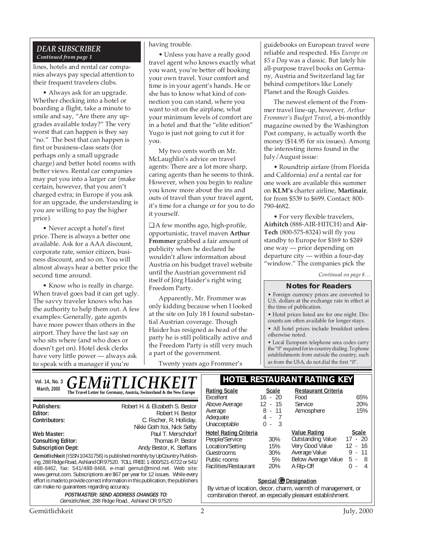#### *DEAR SUBSCRIBER Continued from page 1*

lines, hotels and rental car companies always pay special attention to their frequent travelers clubs.

• Always ask for an upgrade. Whether checking into a hotel or boarding a flight, take a minute to smile and say, "Are there any upgrades available today?" The very worst that can happen is they say "no." The best that can happen is first or business-class seats (for perhaps only a small upgrade charge) and better hotel rooms with better views. Rental car companies may put you into a larger car (make certain, however, that you aren't charged extra; in Europe if you ask for an upgrade, the understanding is you are willing to pay the higher price).

• Never accept a hotel's first price. There is always a better one available. Ask for a AAA discount, corporate rate, senior citizen, business discount, and so on. You will almost always hear a better price the second time around.

• Know who is really in charge. When travel goes bad it can get ugly. The savvy traveler knows who has the authority to help them out. A few examples: Generally, gate agents have more power than others in the airport. They have the last say on who sits where (and who does or doesn't get on). Hotel desk clerks have very little power — always ask to speak with a manager if you're

#### having trouble.

• Unless you have a really good travel agent who knows exactly what you want, you're better off booking your own travel. Your comfort and time is in your agent's hands. He or she has to know what kind of connection you can stand, where you want to sit on the airplane, what your minimum levels of comfort are in a hotel and that the "elite edition" Yugo is just not going to cut it for you.

My two cents worth on Mr. McLaughlin's advice on travel agents: There are a lot more sharp, caring agents than he seems to think. However, when you begin to realize you know more about the ins and outs of travel than your travel agent, it's time for a change or for you to do it yourself.

❑ A few months ago, high-profile, opportunistic, travel maven **Arthur Frommer** grabbed a fair amount of publicity when he declared he wouldn't allow information about Austria on his budget travel website until the Austrian government rid itself of Jörg Haider's right wing Freedom Party.

Apparently, Mr. Frommer was only kidding because when I looked at the site on July 18 I found substantial Austrian coverage. Though Haider has resigned as head of the party he is still politically active and the Freedom Party is still very much a part of the government.

Twenty years ago Frommer's

guidebooks on European travel were reliable and respected. His *Europe on \$5 a Day* was a classic. But lately his all-purpose travel books on Germany, Austria and Switzerland lag far behind competitors like Lonely Planet and the Rough Guides.

The newest element of the Frommer travel line-up, however*, Arthur Frommer's Budget Travel*, a bi-monthly magazine owned by the Washington Post company, is actually worth the money (\$14.95 for six issues). Among the interesting items found in the July/August issue:

• Roundtrip airfare (from Florida and California) *and* a rental car for one week are available this summer on **KLM's** charter airline, **Martinair**, for from \$539 to \$699. Contact: 800- 790-4682.

• For very flexible travelers, **Airhitch** (888-AIR-HITCH) and **Air**-**Tech** (800-575-8324) will fly you standby to Europe for \$169 to \$249 one way — price depending on departure city — within a four-day "window." The companies pick the

*Continued on page 8…*

#### **Notes for Readers**

• Foreign currency prices are converted to U.S. dollars at the exchange rate in effect at the time of publication.

• Hotel prices listed are for one night. Discounts are often available for longer stays.

• All hotel prices include breakfast unless otherwise noted.

• Local European telephone area codes carry the "0" required for in-country dialing. To phone establishments from outside the country, such as from the USA, do not dial the first "0".

| Vol. 14, No. 3                                                                                                                                                                                                                     | <b>GEMÜTLICHKEIT</b>                                                                                                                                                                                                                                                                                                                                                     | <b>HOTEL RESTAURANT RATING KEY</b>                                                                                                                   |                                             |                                                                                                                  |                                                                                     |
|------------------------------------------------------------------------------------------------------------------------------------------------------------------------------------------------------------------------------------|--------------------------------------------------------------------------------------------------------------------------------------------------------------------------------------------------------------------------------------------------------------------------------------------------------------------------------------------------------------------------|------------------------------------------------------------------------------------------------------------------------------------------------------|---------------------------------------------|------------------------------------------------------------------------------------------------------------------|-------------------------------------------------------------------------------------|
| March, 2000                                                                                                                                                                                                                        | The Travel Letter for Germany, Austria, Switzerland & the New Europe                                                                                                                                                                                                                                                                                                     | <b>Rating Scale</b><br>Excellent                                                                                                                     | <b>Scale</b><br>$16 - 20$                   | <b>Restaurant Criteria</b><br>Food                                                                               | 65%                                                                                 |
| Publishers:<br>Editor:<br>Contributors:                                                                                                                                                                                            | Robert H. & Elizabeth S. Bestor<br>Robert H. Bestor<br>C. Fischer, R. Holliday,<br>Nikki Goth Itoi, Nick Selby                                                                                                                                                                                                                                                           | Above Average<br>Average<br>Adequate<br>Unacceptable                                                                                                 | $12 - 15$<br>$8 - 11$<br>4 -<br>-3<br>$0 -$ | <b>Service</b><br>Atmosphere                                                                                     | 20%<br>15%                                                                          |
| Web Master:<br><b>Consulting Editor:</b><br><b>Subscription Dept:</b>                                                                                                                                                              | Paul T. Merschdorf<br>Thomas P. Bestor<br>Andy Bestor, K. Steffans<br>Gemütlichkeit (ISSN 10431756) is published monthly by UpCountry Publish-<br>ing, 288 Ridge Road, Ashland OR 97520. TOLL FREE: 1-800/521-6722 or 541/<br>488-8462, fax: 541/488-8468, e-mail gemut@mind.net. Web site:<br>www.gemut.com. Subscriptions are \$67 per year for 12 issues. While every | <b>Hotel Rating Criteria</b><br>People/Service<br>Location/Setting<br>Guestrooms<br>Public rooms<br>Facilities/Restaurant                            | 30%<br>15%<br>30%<br>5%<br>20%              | <b>Value Rating</b><br>Outstanding Value<br>Very Good Value<br>Average Value<br>Below Average Value<br>A Rip-Off | <b>Scale</b><br>$17 - 20$<br>$12 - 16$<br>-11<br>9 -<br>$5 - 8$<br>0<br>4<br>$\sim$ |
| effort is made to provide correct information in this publication, the publishers<br>can make no quarantees regarding accuracy.<br><b>POSTMASTER: SEND ADDRESS CHANGES TO:</b><br>Gemütlichkeit, 288 Ridge Road., Ashland OR 97520 |                                                                                                                                                                                                                                                                                                                                                                          | Special @ Designation<br>By virtue of location, decor, charm, warmth of management, or<br>combination thereof, an especially pleasant establishment. |                                             |                                                                                                                  |                                                                                     |
| Gemütlichkeit                                                                                                                                                                                                                      |                                                                                                                                                                                                                                                                                                                                                                          | 2                                                                                                                                                    |                                             |                                                                                                                  | July, 2000                                                                          |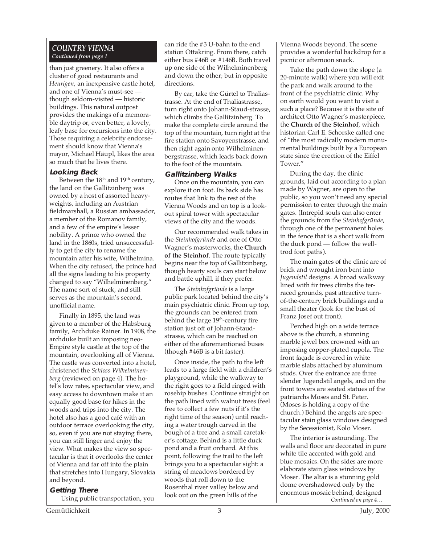#### *COUNTRY VIENNA Continued from page 1*

than just greenery. It also offers a cluster of good restaurants and *Heurigen*, an inexpensive castle hotel, and one of Vienna's must-see though seldom-visited — historic buildings. This natural outpost provides the makings of a memorable daytrip or, even better, a lovely, leafy base for excursions into the city. Those requiring a celebrity endorsement should know that Vienna's mayor, Michael Häupl, likes the area so much that he lives there.

#### **Looking Back**

Between the  $18<sup>th</sup>$  and  $19<sup>th</sup>$  century, the land on the Gallitzinberg was owned by a host of assorted heavyweights, including an Austrian fieldmarshall, a Russian ambassador, a member of the Romanov family, and a few of the empire's lesser nobility. A prince who owned the land in the 1860s, tried unsuccessfully to get the city to rename the mountain after his wife, Wilhelmina. When the city refused, the prince had all the signs leading to his property changed to say "Wilhelminenberg." The name sort of stuck, and still serves as the mountain's second, unofficial name.

Finally in 1895, the land was given to a member of the Habsburg family, Archduke Rainer. In 1908, the archduke built an imposing neo-Empire style castle at the top of the mountain, overlooking all of Vienna. The castle was converted into a hotel, christened the *Schloss Wilhelminenberg* (reviewed on page 4). The hotel's low rates, spectacular view, and easy access to downtown make it an equally good base for hikes in the woods and trips into the city. The hotel also has a good café with an outdoor terrace overlooking the city, so, even if you are not staying there, you can still linger and enjoy the view. What makes the view so spectacular is that it overlooks the center of Vienna and far off into the plain that stretches into Hungary, Slovakia and beyond.

#### **Getting There**

Using public transportation, you

can ride the #3 U-bahn to the end station Ottakring. From there, catch either bus #46B or #146B. Both travel up one side of the Wilhelminenberg and down the other; but in opposite directions.

By car, take the Gürtel to Thaliastrasse. At the end of Thaliastrasse, turn right onto Johann-Staud-strasse, which climbs the Gallitzinberg. To make the complete circle around the top of the mountain, turn right at the fire station onto Savoyenstrasse, and then right again onto Wilhelminenbergstrasse, which leads back down to the foot of the mountain.

#### **Gallitzinberg Walks**

Once on the mountain, you can explore it on foot. Its back side has routes that link to the rest of the Vienna Woods and on top is a lookout spiral tower with spectacular views of the city and the woods.

Our recommended walk takes in the *Steinhofgründe* and one of Otto Wagner's masterworks, the **Church of the Steinhof**. The route typically begins near the top of Gallitzinberg, though hearty souls can start below and battle uphill, if they prefer.

The *Steinhofgründe* is a large public park located behind the city's main psychiatric clinic. From up top, the grounds can be entered from behind the large 19<sup>th</sup>-century fire station just off of Johann-Staudstrasse, which can be reached on either of the aforementioned buses (though #46B is a bit faster).

Once inside, the path to the left leads to a large field with a children's playground, while the walkway to the right goes to a field ringed with rosehip bushes. Continue straight on the path lined with walnut trees (feel free to collect a few nuts if it's the right time of the season) until reaching a water trough carved in the bough of a tree and a small caretaker's cottage. Behind is a little duck pond and a fruit orchard. At this point, following the trail to the left brings you to a spectacular sight: a string of meadows bordered by woods that roll down to the Rosenthal river valley below and look out on the green hills of the

Vienna Woods beyond. The scene provides a wonderful backdrop for a picnic or afternoon snack.

Take the path down the slope (a 20-minute walk) where you will exit the park and walk around to the front of the psychiatric clinic. Why on earth would you want to visit a such a place? Because it is the site of architect Otto Wagner's masterpiece, the **Church of the Steinhof**, which historian Carl E. Schorske called one of "the most radically modern monumental buildings built by a European state since the erection of the Eiffel Tower."

During the day, the clinic grounds, laid out according to a plan made by Wagner, are open to the public, so you won't need any special permission to enter through the main gates. (Intrepid souls can also enter the grounds from the *Steinhofgründe*, through one of the permanent holes in the fence that is a short walk from the duck pond — follow the welltrod foot paths).

The main gates of the clinic are of brick and wrought iron bent into *Jugendstil* designs. A broad walkway lined with fir trees climbs the terraced grounds, past attractive turnof-the-century brick buildings and a small theater (look for the bust of Franz Josef out front).

Perched high on a wide terrace above is the church, a stunning marble jewel box crowned with an imposing copper-plated cupola. The front façade is covered in white marble slabs attached by aluminum studs. Over the entrance are three slender Jugendstil angels, and on the front towers are seated statues of the patriarchs Moses and St. Peter. (Moses is holding a copy of the church.) Behind the angels are spectacular stain glass windows designed by the Secessionist, Kolo Moser.

*Continued on page 4…* The interior is astounding. The walls and floor are decorated in pure white tile accented with gold and blue mosaics. On the sides are more elaborate stain glass windows by Moser. The altar is a stunning gold dome overshadowed only by the enormous mosaic behind, designed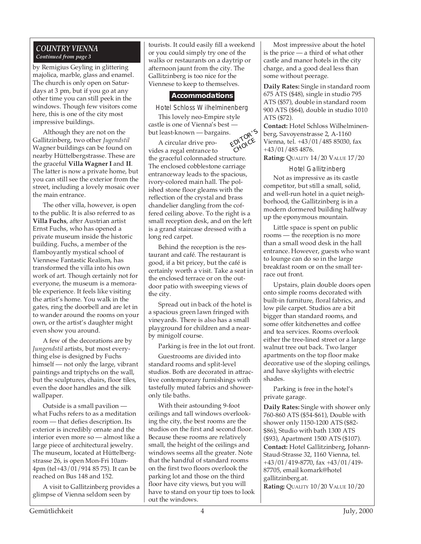#### *COUNTRY VIENNA Continued from page 3*

by Remigius Geyling in glittering majolica, marble, glass and enamel. The church is only open on Saturdays at 3 pm, but if you go at any other time you can still peek in the windows. Though few visitors come here, this is one of the city most impressive buildings.

Although they are not on the Gallitzinberg, two other *Jugendstil* Wagner buildings can be found on nearby Hüttelbergstrasse. These are the graceful **Villa Wagner I** and **II**. The latter is now a private home, but you can still see the exterior from the street, including a lovely mosaic over the main entrance.

The other villa, however, is open to the public. It is also referred to as **Villa Fuchs**, after Austrian artist Ernst Fuchs, who has opened a private museum inside the historic building. Fuchs, a member of the flamboyantly mystical school of Viennese Fantastic Realism, has transformed the villa into his own work of art. Though certainly not for everyone, the museum is a memorable experience. It feels like visiting the artist's home. You walk in the gates, ring the doorbell and are let in to wander around the rooms on your own, or the artist's daughter might even show you around.

A few of the decorations are by *Jungendstil* artists, but most everything else is designed by Fuchs himself — not only the large, vibrant paintings and triptychs on the wall, but the sculptures, chairs, floor tiles, even the door handles and the silk wallpaper.

Outside is a small pavilion what Fuchs refers to as a meditation room — that defies description. Its exterior is incredibly ornate and the interior even more so — almost like a large piece of architectural jewelry. The museum, located at Hüttelbergstrasse 26, is open Mon-Fri 10am-4pm (tel+43/01/914 85 75). It can be reached on Bus 148 and 152.

A visit to Gallitzinberg provides a glimpse of Vienna seldom seen by

or you could simply try one of the tourists. It could easily fill a weekend walks or restaurants on a daytrip or afternoon jaunt from the city. The Gallitzinberg is too nice for the Viennese to keep to themselves.

#### **Accommodations**

Hotel Schloss Wilhelminenberg

This lovely neo-Empire style castle is one of Vienna's best but least-known — bargains. EDITOR'<sup>S</sup>

A circular drive pro-

vides a regal entrance to the graceful colonnaded structure. The enclosed cobblestone carriage entranceway leads to the spacious, ivory-colored main hall. The polished stone floor gleams with the reflection of the crystal and brass chandelier dangling from the coffered ceiling above. To the right is a small reception desk, and on the left is a grand staircase dressed with a long red carpet. CHOICE

Behind the reception is the restaurant and café. The restaurant is good, if a bit pricey, but the café is certainly worth a visit. Take a seat in the enclosed terrace or on the outdoor patio with sweeping views of the city.

Spread out in back of the hotel is a spacious green lawn fringed with vineyards. There is also has a small playground for children and a nearby minigolf course.

Parking is free in the lot out front.

Guestrooms are divided into standard rooms and split-level studios. Both are decorated in attractive contemporary furnishings with tastefully muted fabrics and showeronly tile baths.

With their astounding 9-foot ceilings and tall windows overlooking the city, the best rooms are the studios on the first and second floor. Because these rooms are relatively small, the height of the ceilings and windows seems all the greater. Note that the handful of standard rooms on the first two floors overlook the parking lot and those on the third floor have city views, but you will have to stand on your tip toes to look out the windows.

Most impressive about the hotel is the price — a third of what other castle and manor hotels in the city charge, and a good deal less than some without peerage.

**Daily Rates:** Single in standard room 675 ATS (\$48), single in studio 795 ATS (\$57), double in standard room 900 ATS (\$64), double in studio 1010 ATS (\$72).

**Contact:** Hotel Schloss Wilhelminenberg, Savoyenstrasse 2, A-1160 Vienna, tel. +43/01/485 85030, fax +43/01/485 4876.

**Rating:** QUALITY 14/20 VALUE 17/20

Hotel Gallitzinberg Not as impressive as its castle competitor, but still a small, solid, and well-run hotel in a quiet neighborhood, the Gallitzinberg is in a modern dormered building halfway

up the eponymous mountain.

Little space is spent on public rooms — the reception is no more than a small wood desk in the hall entrance. However, guests who want to lounge can do so in the large breakfast room or on the small terrace out front.

Upstairs, plain double doors open onto simple rooms decorated with built-in furniture, floral fabrics, and low pile carpet. Studios are a bit bigger than standard rooms, and some offer kitchenettes and coffee and tea services. Rooms overlook either the tree-lined street or a large walnut tree out back. Two larger apartments on the top floor make decorative use of the sloping ceilings, and have skylights with electric shades.

Parking is free in the hotel's private garage.

**Daily Rates:** Single with shower only 760-860 ATS (\$54-\$61), Double with shower only 1150-1200 ATS (\$82- \$86), Studio with bath 1300 ATS (\$93), Apartment 1500 ATS (\$107). **Contact:** Hotel Gallitzinberg, Johann-Staud-Strasse 32, 1160 Vienna, tel. +43/01/419-8770, fax +43/01/419- 87705, email komark@hotel gallitzinberg.at.

**Rating:** QUALITY 10/20 VALUE 10/20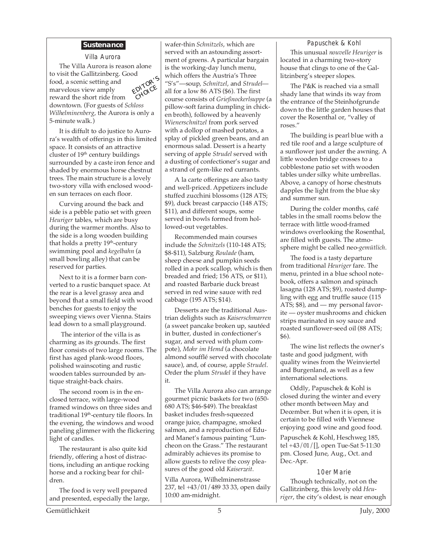#### **Sustenance**

EDITOR'<sup>S</sup> CHOICE Villa Aurora The Villa Aurora is reason alone to visit the Gallitzinberg. Good food, a scenic setting and marvelous view amply reward the short ride from

downtown. (For guests of *Schloss Wilhelminenberg*, the Aurora is only a 5-minute walk.)

It is diffult to do justice to Aurora's wealth of offerings in this limited space. It consists of an attractive cluster of 19th century buildings surrounded by a caste iron fence and shaded by enormous horse chestnut trees. The main structure is a lovely two-story villa with enclosed wooden sun terraces on each floor.

Curving around the back and side is a pebble patio set with green *Heuriger* tables, which are busy during the warmer months. Also to the side is a long wooden building that holds a pretty 19<sup>th</sup>-century swimming pool and *kegelbahn* (a small bowling alley) that can be reserved for parties.

Next to it is a former barn converted to a rustic banquet space. At the rear is a level grassy area and beyond that a small field with wood benches for guests to enjoy the sweeping views over Vienna. Stairs lead down to a small playground.

 The interior of the villa is as charming as its grounds. The first floor consists of two large rooms. The first has aged plank-wood floors, polished wainscoting and rustic wooden tables surrounded by antique straight-back chairs.

The second room is in the enclosed terrace, with large-wood framed windows on three sides and traditional 19<sup>th</sup>-century tile floors. In the evening, the windows and wood paneling glimmer with the flickering light of candles.

The restaurant is also quite kid friendly, offering a host of distractions, including an antique rocking horse and a rocking bear for children.

The food is very well prepared and presented, especially the large, wafer-thin *Schnitzels*, which are served with an astounding assortment of greens. A particular bargain is the working-day lunch menu, which offers the Austria's Three "S's"—soup, *Schnitzel*, and *Strudel* all for a low 86 ATS (\$6). The first course consists of *Grießnockerlsuppe* (a pillow-soft farina dumpling in chicken broth), followed by a heavenly *Wienerschnitzel* from pork served with a dollop of mashed potatos, a splay of pickled green beans, and an enormous salad. Dessert is a hearty serving of apple *Strudel* served with a dusting of confectioner's sugar and a strand of gem-like red currants.

A la carte offerings are also tasty and well-priced. Appetizers include stuffed zucchini blossoms (128 ATS; \$9), duck breast carpaccio (148 ATS; \$11), and different soups, some served in bowls formed from hollowed-out vegetables.

Recommended main courses include the *Schnitzels* (110-148 ATS; \$8-\$11), Salzburg *Roulade* (ham, sheep cheese and pumpkin seeds rolled in a pork scallop, which is then breaded and fried; 156 ATS, or \$11), and roasted Barbarie duck breast served in red wine sauce with red cabbage (195 ATS; \$14).

Desserts are the traditional Austrian delights such as *Kaiserschmarren* (a sweet pancake broken up, sautéed in butter, dusted in confectioner's sugar, and served with plum compote), *Mohr im Hemd* (a chocolate almond soufflé served with chocolate sauce), and, of course, apple *Strudel*. Order the plum *Strudel* if they have it.

The Villa Aurora also can arrange gourmet picnic baskets for two (650- 680 ATS; \$46-\$49). The breakfast basket includes fresh-squeezed orange juice, champagne, smoked salmon, and a reproduction of Eduard Manet's famous painting "Luncheon on the Grass." The restaurant admirably achieves its promise to allow guests to relive the cosy pleasures of the good old *Kaiserzeit*.

Villa Aurora, Wilhelminenstrasse 237, tel +43/01/489 33 33, open daily 10:00 am-midnight.

#### Papuschek & Kohl

This unusual *nouvelle Heuriger* is located in a charming two-story house that clings to one of the Gallitzinberg's steeper slopes.

The P&K is reached via a small shady lane that winds its way from the entrance of the Steinhofgrunde down to the little garden houses that cover the Rosenthal or, "valley of roses."

The building is pearl blue with a red tile roof and a large sculpture of a sunflower just under the awning. A little wooden bridge crosses to a cobblestone patio set with wooden tables under silky white umbrellas. Above, a canopy of horse chestnuts dapples the light from the blue sky and summer sun.

During the colder months, café tables in the small rooms below the terrace with little wood-framed windows overlooking the Rosenthal, are filled with guests. The atmosphere might be called neo-*gemütlich*.

The food is a tasty departure from traditional *Heuriger* fare. The menu, printed in a blue school notebook, offers a salmon and spinach lasagna (128 ATS; \$9), roasted dumpling with egg and truffle sauce (115 ATS; \$8), and — my personal favorite — oyster mushrooms and chicken strips marinated in soy sauce and roasted sunflower-seed oil (88 ATS; \$6).

The wine list reflects the owner's taste and good judgment, with quality wines from the Weinviertel and Burgenland, as well as a few international selections.

Oddly, Papuschek & Kohl is closed during the winter and every other month between May and December. But when it is open, it is certain to be filled with Viennese enjoying good wine and good food.

Papuschek & Kohl, Heschweg 185, tel +43/01/[], open Tue-Sat 5-11:30 pm. Closed June, Aug., Oct. and Dec.-Apr.

10er Marie

Though technically, not on the Gallitzinberg, this lovely old *Heuriger*, the city's oldest, is near enough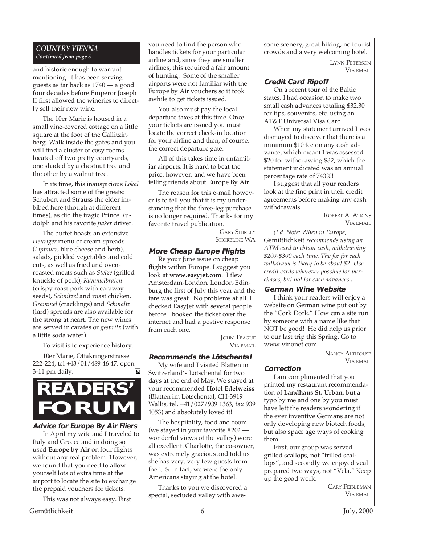#### *COUNTRY VIENNA Continued from page 5*

and historic enough to warrant mentioning. It has been serving guests as far back as 1740 — a good four decades before Emperor Joseph II first allowed the wineries to directly sell their new wine.

The 10er Marie is housed in a small vine-covered cottage on a little square at the foot of the Gallitzinberg. Walk inside the gates and you will find a cluster of cosy rooms located off two pretty courtyards, one shaded by a chestnut tree and the other by a walnut tree.

In its time, this inauspicious *Lokal* has attracted some of the greats: Schubert and Strauss the elder imbibed here (though at different times), as did the tragic Prince Rudolph and his favorite *fiaker* driver.

The buffet boasts an extensive *Heuriger* menu of cream spreads (*Liptauer*, blue cheese and herb), salads, pickled vegetables and cold cuts, as well as fried and ovenroasted meats such as *Stelze* (grilled knuckle of pork), *Kümmelbraten* (crispy roast pork with caraway seeds), *Schnitzel* and roast chicken. *Grammel* (cracklings) and *Schmaltz* (lard) spreads are also available for the strong at heart. The new wines are served in carafes or *gespritz* (with a little soda water).

To visit is to experience history.

10er Marie, Ottakringerstrasse 222-224, tel +43/01/489 46 47, open 3-11 pm daily. 岡



#### **Advice for Europe By Air Fliers**

In April my wife and I traveled to Italy and Greece and in doing so used **Europe by Air** on four flights without any real problem. However, we found that you need to allow yourself lots of extra time at the airport to locate the site to exchange the prepaid vouchers for tickets.

This was not always easy. First

you need to find the person who handles tickets for your particular airline and, since they are smaller airlines, this required a fair amount of hunting. Some of the smaller airports were not familiar with the Europe by Air vouchers so it took awhile to get tickets issued.

You also must pay the local departure taxes at this time. Once your tickets are issued you must locate the correct check-in location for your airline and then, of course, the correct departure gate.

All of this takes time in unfamiliar airports. It is hard to beat the price, however, and we have been telling friends about Europe By Air.

The reason for this e-mail however is to tell you that it is my understanding that the three-leg purchase is no longer required. Thanks for my favorite travel publication.

GARY SHIRLEY SHORELINE WA

#### **More Cheap Europe Flights**

Re your June issue on cheap flights within Europe. I suggest you look at **www.easyjet.com**. I flew Amsterdam-London, London-Edinburg the first of July this year and the fare was great. No problems at all. I checked EasyJet with several people before I booked the ticket over the internet and had a postive response from each one.

> **JOHN TEAGUE** VIA EMAIL

#### **Recommends the Lötschental**

My wife and I visited Blatten in Switzerland's Lötschental for two days at the end of May. We stayed at your recommended **Hotel Edelweiss** (Blatten im Lötschental, CH-3919 Wallis, tel. +41/027/939 1363, fax 939 1053) and absolutely loved it!

The hospitality, food and room (we stayed in your favorite #202 wonderful views of the valley) were all excellent. Charlotte, the co-owner, was extremely gracious and told us she has very, very few guests from the U.S. In fact, we were the only Americans staying at the hotel.

Thanks to you we discovered a special, secluded valley with awesome scenery, great hiking, no tourist crowds and a very welcoming hotel.

> LYNN PETERSON VIA EMAIL

#### **Credit Card Ripoff**

On a recent tour of the Baltic states, I had occasion to make two small cash advances totaling \$32.30 for tips, souvenirs, etc. using an AT&T Universal Visa Card.

When my statement arrived I was dismayed to discover that there is a minimum \$10 fee on any cash advance, which meant I was assessed \$20 for withdrawing \$32, which the statement indicated was an annual percentage rate of 743%!

I suggest that all your readers look at the fine print in their credit agreements before making any cash withdrawals.

> ROBERT A. ATKINS VIA EMAIL

*(Ed. Note: When in Europe,* Gemütlichkeit *recommends using an ATM card to obtain cash, withdrawing \$200-\$300 each time. The fee for each withdrawl is likely to be about \$2. Use credit cards wherever possible for purchases, but not for cash advances.)*

#### **German Wine Website**

I think your readers will enjoy a website on German wine put out by the "Cork Dork." How can a site run by someone with a name like that NOT be good! He did help us prior to our last trip this Spring. Go to www.vinonet.com.

> NANCY ALTHOUSE VIA EMAIL

#### **Correction**

I am complimented that you printed my restaurant recommendation of **Landhaus St. Urban**, but a typo by me and one by you must have left the readers wondering if the ever inventive Germans are not only developing new biotech foods, but also space age ways of cooking them.

First, our group was served grilled scallops, not "frilled scallops", and secondly we enjoyed veal prepared two ways, not "Vela." Keep up the good work.

> CARY FEIBLEMAN VIA EMAIL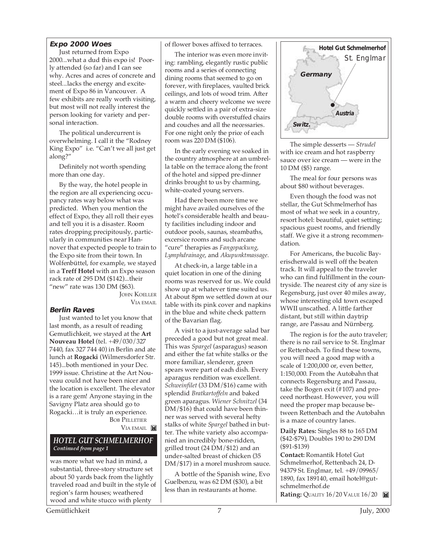#### **Expo 2000 Woes**

Just returned from Expo 2000...what a dud this expo is! Poorly attended (so far) and I can see why. Acres and acres of concrete and steel...lacks the energy and excitement of Expo 86 in Vancouver. A few exhibits are really worth visiting, but most will not really interest the person looking for variety and personal interaction.

The political undercurrent is overwhelming. I call it the "Rodney King Expo" i.e. "Can't we all just get along?"

Definitely not worth spending more than one day.

By the way, the hotel people in the region are all experiencing occupancy rates way below what was predicted. When you mention the effect of Expo, they all roll their eyes and tell you it is a disaster. Room rates dropping precipitously, particularly in communities near Hannover that expected people to train to the Expo site from their town. In Wolfenbüttel, for example, we stayed in a **Treff Hotel** with an Expo season rack rate of 295 DM (\$142)...their "new" rate was 130 DM (\$63).

**JOHN KOELLER** VIA EMAIL

#### **Berlin Raves**

Just wanted to let you know that last month, as a result of reading Gemutlichkeit, we stayed at the **Art Nouveau Hotel** (tel. +49/030/327 7440, fax 327 744 40) in Berlin and ate lunch at **Rogacki** (Wilmersdorfer Str. 145)...both mentioned in your Dec. 1999 issue. Christine at the Art Nouveau could not have been nicer and the location is excellent. The elevator is a rare gem! Anyone staying in the Savigny Platz area should go to Rogacki…it is truly an experience. BOB PELLETIER

VIA EMAIL

#### *HOTEL GUT SCHMELMERHOF Continued from page 1*

was more what we had in mind, a substantial, three-story structure set about 50 yards back from the lightly traveled road and built in the style of region's farm houses; weathered wood and white stucco with plenty

of flower boxes affixed to terraces.

The interior was even more inviting: rambling, elegantly rustic public rooms and a series of connecting dining rooms that seemed to go on forever, with fireplaces, vaulted brick ceilings, and lots of wood trim. After a warm and cheery welcome we were quickly settled in a pair of extra-size double rooms with overstuffed chairs and couches and all the necessaries. For one night only the price of each room was 220 DM (\$106).

In the early evening we soaked in the country atmosphere at an umbrella table on the terrace along the front of the hotel and sipped pre-dinner drinks brought to us by charming, white-coated young servers.

Had there been more time we might have availed ourselves of the hotel's considerable health and beauty facilities including indoor and outdoor pools, saunas, steambaths, excersice rooms and such arcane "cure" therapies as *Fangopackung*, *Lymphdrainage*, and *Akupunktmassage.*

At check-in, a large table in a quiet location in one of the dining rooms was reserved for us. We could show up at whatever time suited us. At about 8pm we settled down at our table with its pink cover and napkins in the blue and white check pattern of the Bavarian flag.

A visit to a just-average salad bar preceded a good but not great meal. This was *Spargel* (asparagus) season and either the fat white stalks or the more familiar, slenderer, green spears were part of each dish. Every aparagus rendition was excellent. *Schweinfilet* (33 DM/\$16) came with splendid *Bratkartoffeln* and baked green aparagus. *Wiener Schnitzel* (34 DM/\$16) that could have been thinner was served with several hefty stalks of white *Spargel* bathed in butter. The white variety also accompanied an incredibly bone-ridden, grilled trout (24 DM/\$12) and an under-salted breast of chicken (35 DM/\$17) in a morel mushrom sauce.

A bottle of the Spanish wine, Evo Guelbenzu, was 62 DM (\$30), a bit less than in restaurants at home.



The simple desserts — *Strudel* with ice cream and hot raspberry sauce over ice cream — were in the 10 DM (\$5) range.

The meal for four persons was about \$80 without beverages.

Even though the food was not stellar, the Gut Schmelmerhof has most of what we seek in a country, resort hotel: beautiful, quiet setting; spacious guest rooms, and friendly staff. We give it a strong recommendation.

For Americans, the bucolic Bayerischerwald is well off the beaten track. It will appeal to the traveler who can find fulfillment in the countryside. The nearest city of any size is Regensburg, just over 40 miles away, whose interesting old town escaped WWII unscathed. A little farther distant, but still within daytrip range, are Passau and Nürnberg.

The region is for the auto traveler; there is no rail service to St. Englmar or Rettenbach. To find these towns, you will need a good map with a scale of 1:200,000 or, even better, 1:150,000. From the Autobahn that connects Regensburg and Passau, take the Bogen exit (#107) and proceed northeast. However, you will need the proper map because between Rettenbach and the Autobahn is a maze of country lanes.

**Daily Rates:** Singles 88 to 165 DM (\$42-\$79), Doubles 190 to 290 DM (\$91-\$139)

**Contact:** Romantik Hotel Gut Schmelmerhof, Rettenbach 24, D-94379 St. Englmar, tel. +49/09965/ 1890, fax 189140, email hotel@gutschmelmerhof.de **Rating:** QUALITY 16/20 VALUE 16/20